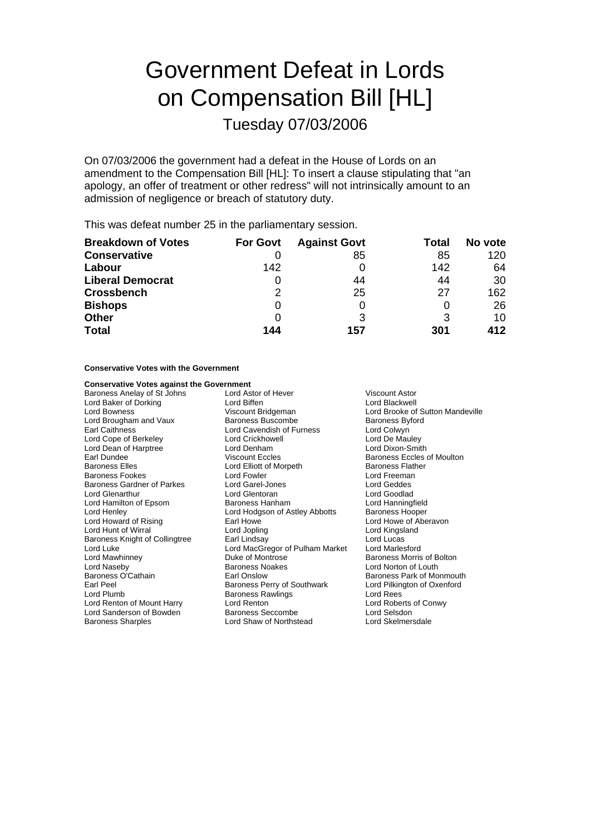# Government Defeat in Lords on Compensation Bill [HL]

Tuesday 07/03/2006

On 07/03/2006 the government had a defeat in the House of Lords on an amendment to the Compensation Bill [HL]: To insert a clause stipulating that "an apology, an offer of treatment or other redress" will not intrinsically amount to an admission of negligence or breach of statutory duty.

This was defeat number 25 in the parliamentary session.

| <b>Breakdown of Votes</b> | <b>For Govt</b> | <b>Against Govt</b> | Total | No vote |
|---------------------------|-----------------|---------------------|-------|---------|
| <b>Conservative</b>       |                 | 85                  | 85    | 120     |
| Labour                    | 142             |                     | 142   | 64      |
| <b>Liberal Democrat</b>   |                 | 44                  | 44    | 30      |
| <b>Crossbench</b>         | 2               | 25                  | 27    | 162     |
| <b>Bishops</b>            |                 |                     | O     | 26      |
| <b>Other</b>              |                 |                     | 3     | 10      |
| <b>Total</b>              | 144             | 157                 | 301   | 412     |

## **Conservative Votes with the Government**

## **Conservative Votes against the Government**<br>Baroness Anelay of St Johns Lord Astor of Hever

Lord Dean of Harptree<br>Earl Dundee Lord Glenarthur Lord Henley Lord Hodgson of Astley Abbotts<br>
Lord Howard of Rising Earl Howe Lord Sanderson of Bowden Baroness Sharples Lord Shaw of Northstead Lord Skelmersdale

Baroness Anelay of St Johns Lord Astor of Hever Viscount Astor Lord Baker of Dorking Lord Biffen Lord Blackwell Viscount Bridgeman Lord Brooke of Sutton Mandeville<br>
Baroness Buscombe<br>
Baroness Byford Lord Brougham and Vaux Baroness Buscombe Baroness By<br>Earl Caithness By Earl Caithness By Earl Caithness By Lord Cavendish of Furness Lord Cope of Berkeley **Lord Crickhowell** Cord Crickhowell Lord De Mauley<br>
Lord Dean of Harptree **Lord Denham** Lord De Lord Dixon-Smith Earl Dundee Viscount Eccles Baroness Eccles of Moulton Lord Elliott of Morpeth Baroness Flather<br>
Lord Fowler Baroness Flather<br>
Lord Freeman Baroness Fookes **Exercise Exercise Lord Fowler** Lord Freemanness Card Freemanness Card Freemanness Corp. Lord Geddes<br>
Lord Garoness Gardner of Parkes **Lord Gare-Lones** Lord Geddes Lord Geddes Baroness Gardner of Parkes Lord Garel-Jones Lord Geddes Lord Hamilton of Epsom **Baroness Hanham** Lord Hanningfield<br>
Lord Henley **Baroness Hooper** Lord Hodgson of Astley Abbotts Baroness Hooper Earl Howe **Earl Howard Construction Construction**<br>
Lord Jopling **Earl Lord Kingsland** Lord Hunt of Wirral **Lord Lord Lord Jopling Communist Cord Kingsland** Baroness Knight of Collingtree Earl Lindsay Earl Lord MacGregor of Pulham Market Lord Marlesford<br>Lord Luke Lord MacGregor of Pulham Market Lord Marlesford Lord Luke Lord MacGregor of Pulham Market<br>
Lord Mawhinney Lord Montrose<br>
Duke of Montrose Lord Naseby **Baroness Noakes** Lord Norton of Louth Baroness Noakes<br>Baroness O'Cathain **Baroness Lord Norton Club** Baroness Park of Mo Baroness O'Cathain **Earl Onslow** Earl Onslow Baroness Park of Monmouth **Earl Peel**<br>Earl Peel Baroness Perry of Southwark Lord Pilkington of Oxenford Earl Peel **Baroness Perry of Southwark** Lord Pilkington of Oxenford Lord Pilkington of Oxenford Lord Pilmington of Oxenford Baroness Rawlings Baroness Rawlings Lord Renton of Mount Harry Lord Renton<br>
Lord Sanderson of Bowden Baroness Seccombe<br>
Lord Selsdon Cord Rowden

Baroness Morris of Bolton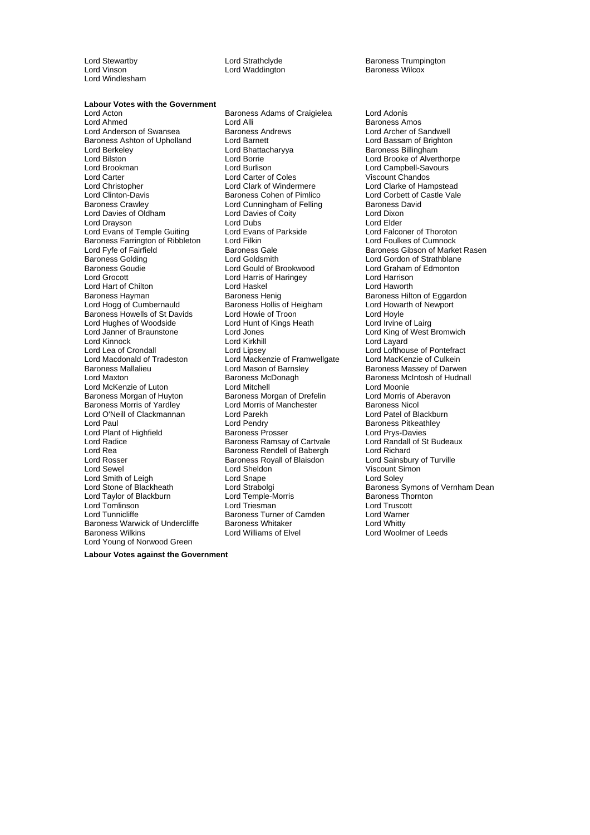Lord Windlesham

Lord Waddington

Lord Stewartby **Lord Strathclyde Baroness Trumpington**<br>
Lord Vinson **Cord Waddington** Baroness Wilcox

## **Labour Votes with the Government**

Lord Anderson of Swansea **Baroness Andrews** Lord Archer of Sandwell<br>Baroness Ashton of Upholland Lord Barnett **Lord Archer Cord Bassam of Brighton** Baroness Ashton of Upholland Lord Barnett<br>Lord Berkeley Lord Bhattacharyya Lord Berkeley **Lord Bhattacharyya** Baroness Billingham<br>
Lord Bilston Lord Borrie Lord Borrie Lord Brooke of Alver Lord Bilston Lord Borrie Lord Brooke of Alverthorpe Lord Brookman Lord Burlison Lord Campbell-Savours Lord Carter Lord Carter of Coles<br>
Lord Christopher Chandos Lord Clark of Windermere Lord Christopher **Lord Clark of Windermere** Lord Clarke of Hampstead<br>
Lord Clinton-Davis **Colomet Clare Container Colomet Clarke of Cast** Castle Vale Lord Clinton-Davis **Baroness Cohen of Pimlico** Lord Corbett of Corbett of Caroness Crawley Lord Cunningham of Felling Baroness David Lord Davies of Oldham Lord Davies of Coity Lord Dixon<br>
Lord Dravson Lord Dubs Lord Dubs Lord Elder Lord Drayson **Lord Dubs**<br>
Lord Evans of Temple Guiting **Lord Evans of Parkside** Lord Evans of Duble Lord Falconer of Thoroton Lord Evans of Temple Guiting Lord Evans<br>Baroness Farrington of Ribbleton Lord Filkin Baroness Farrington of Ribbleton Lord Filkin Lord Foulkes of Cumnock<br>
Lord Fyfe of Fairfield Baroness Gale Baroness Gale Baroness Gibson of Marke Lord Fyfe of Fairfield **Baroness Gale Executes Cale Access** Gibson of Market Rasen<br>Baroness Golding **Baroness Colding Colding Colding Colding** Lord Gordon of Strathblane Baroness Golding Lord Goldsmith Lord Gordon of Strathblane Lord Grocott Lord Harris of Haringey Lord Harrison Lord Hart of Chilton Lord Haskel<br>
Baroness Havman Lord Baroness Henig Lord Hogg of Cumbernauld Baroness Howells of St Davids Lord Howie of Troon<br>Lord Hughes of Woodside Lord Hord Hunt of Kings Heath Lord Irvine of Lairg Lord Hughes of Woodside Lord Hunt c<br>
Lord Janner of Braunstone Lord Jones Lord Kinnock **Lord Kirkhill** Lord Circle 2014 Lord Layard Lord Lea of Crondall Lord Lipsey Cord Lipsey Lord Lofthouse of Pontefract<br>
Lord Mackenzie of Framwellgate Lord Mackenzie of Lord Mackenzie of Culkein Lord Macdonald of Tradeston Lord Mackenzie of Framwellgate<br>Baroness Mallalieu Culce Lord Mason of Barnsley Lord Maxton **Baroness McDonagh** Baroness McDonagh Baroness McIntosh of Hudnall<br>
Lord McKenzie of Luton **Baroness McDonagh** Baroness McDonie Lord McKenzie of Luton **Lord Mitchell** Lord Mitchell Lord Moonie<br>Baroness Morgan of Huvton Baroness Morgan of Drefelin Lord Morris of Aberavon Baroness Morris of Yardley Lord O'Neill of Clackmannan Lord Parekh Lord Patel of Blackburn Lord Plant of Highfield **Baroness Prosser** Baroness Prosser Lord Prys-Davies<br>
Lord Radice **Baroness Ramsay of Cartvale** Lord Randall of St Budeaux Lord Radice The Baroness Ramsay of Cartvale Lord Randall<br>
Lord Rea Corp Cartograph Corp Baroness Rendell of Babergh Lord Richard Lord Rea Baroness Rendell of Babergh Lord Richard<br>Lord Rosser Lord Rosser Baroness Rovall of Blaisdon Lord Sainsbury of Turville Lord Sewel Lord Sheldon Viscount Simon Lord Smith of Leigh **Lord Stape Lord Solet Cord Solet Cord Solet Cord Solet Cord Solet Cord Solet Cord Solet Cord Solet Cord Solet Cord Solet Cord Solet Cord Solet Cord Solet Cord Solet Cord Solet Cord Solet Cord Solet Cor** Lord Taylor of Blackburn Lord Temple-Morris Lord Temple-Morris International Lord Triesman Lord Tomlinson Lord Triesman Lord Truscott Baroness Warwick of Undercliffe Baroness Whitaker **Baroness Whitty Construent Construent** Lord Whitty Baroness Wilkins Lord Young of Norwood Green

Lord Acton **Confluence Communist Confluence** Baroness Adams of Craigielea **Lord Adonis**<br>
Lord Ahmed **Confluence Lord Alli** Cord Alli Lord Alli **Lord Alli Baroness Amos**<br>
Baroness Andrews **Baroness Amos**<br>
Lord Archer of Sandwell Lord Cunningham of Felling Lord Gould of Brookwood Lord Graham<br>Lord Harris of Haringey Lord Harrison Baroness Henig<br>
Baroness Hollis of Heigham
Baroness Hollis of Heigham
Lord Howarth of Newport Lord Jones Lord King of West Bromwich<br>Lord Kirkhill Lord Layard Baroness Morgan of Drefelin Lord Morris of Aberavon Baroness Nicol<br>
Lord Morris of Manchester Baroness Nicol Lord Pendry<br>
Baroness Prosser<br>
Lord Prys-Davies Baroness Royall of Blaisdon Baroness Turner of Camden<br>Baroness Whitaker Lord Williams of Elvel Lord Woolmer of Leeds

Baroness Massey of Darwen Lord Strabolgi **Baroness** Symons of Vernham Dean<br>Lord Temple-Morris **Baroness Thornton** 

**Labour Votes against the Government**